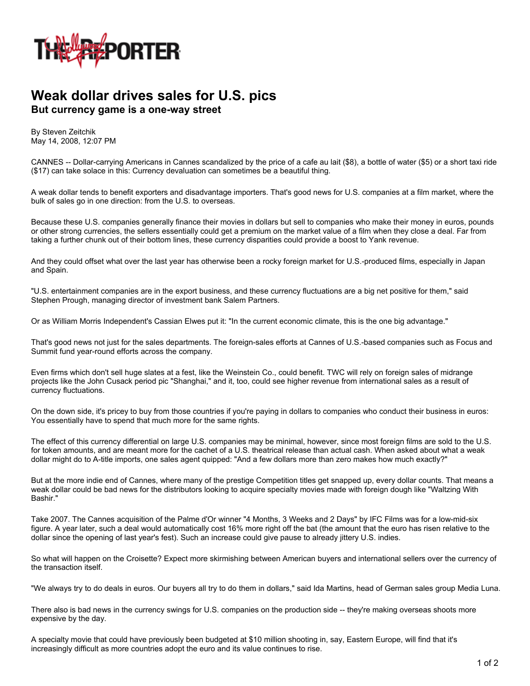

## **Weak dollar drives sales for U.S. pics But currency game is a one-way street**

By Steven Zeitchik May 14, 2008, 12:07 PM

CANNES -- Dollar-carrying Americans in Cannes scandalized by the price of a cafe au lait (\$8), a bottle of water (\$5) or a short taxi ride (\$17) can take solace in this: Currency devaluation can sometimes be a beautiful thing.

A weak dollar tends to benefit exporters and disadvantage importers. That's good news for U.S. companies at a film market, where the bulk of sales go in one direction: from the U.S. to overseas.

Because these U.S. companies generally finance their movies in dollars but sell to companies who make their money in euros, pounds or other strong currencies, the sellers essentially could get a premium on the market value of a film when they close a deal. Far from taking a further chunk out of their bottom lines, these currency disparities could provide a boost to Yank revenue.

And they could offset what over the last year has otherwise been a rocky foreign market for U.S.-produced films, especially in Japan and Spain.

"U.S. entertainment companies are in the export business, and these currency fluctuations are a big net positive for them," said Stephen Prough, managing director of investment bank Salem Partners.

Or as William Morris Independent's Cassian Elwes put it: "In the current economic climate, this is the one big advantage."

That's good news not just for the sales departments. The foreign-sales efforts at Cannes of U.S.-based companies such as Focus and Summit fund year-round efforts across the company.

Even firms which don't sell huge slates at a fest, like the Weinstein Co., could benefit. TWC will rely on foreign sales of midrange projects like the John Cusack period pic "Shanghai," and it, too, could see higher revenue from international sales as a result of currency fluctuations.

On the down side, it's pricey to buy from those countries if you're paying in dollars to companies who conduct their business in euros: You essentially have to spend that much more for the same rights.

The effect of this currency differential on large U.S. companies may be minimal, however, since most foreign films are sold to the U.S. for token amounts, and are meant more for the cachet of a U.S. theatrical release than actual cash. When asked about what a weak dollar might do to A-title imports, one sales agent quipped: "And a few dollars more than zero makes how much exactly?"

But at the more indie end of Cannes, where many of the prestige Competition titles get snapped up, every dollar counts. That means a weak dollar could be bad news for the distributors looking to acquire specialty movies made with foreign dough like "Waltzing With Bashir."

Take 2007. The Cannes acquisition of the Palme d'Or winner "4 Months, 3 Weeks and 2 Days" by IFC Films was for a low-mid-six figure. A year later, such a deal would automatically cost 16% more right off the bat (the amount that the euro has risen relative to the dollar since the opening of last year's fest). Such an increase could give pause to already jittery U.S. indies.

So what will happen on the Croisette? Expect more skirmishing between American buyers and international sellers over the currency of the transaction itself.

"We always try to do deals in euros. Our buyers all try to do them in dollars," said Ida Martins, head of German sales group Media Luna.

There also is bad news in the currency swings for U.S. companies on the production side -- they're making overseas shoots more expensive by the day.

A specialty movie that could have previously been budgeted at \$10 million shooting in, say, Eastern Europe, will find that it's increasingly difficult as more countries adopt the euro and its value continues to rise.